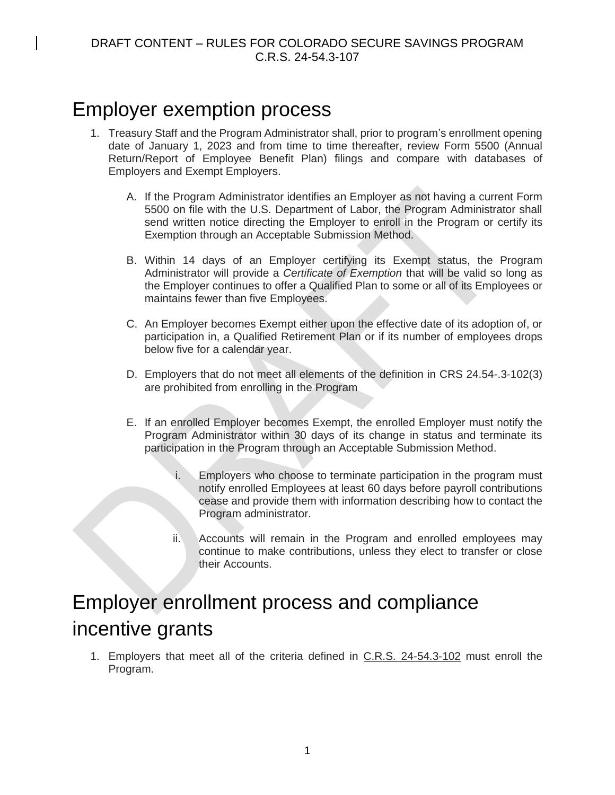# Employer exemption process

- 1. Treasury Staff and the Program Administrator shall, prior to program's enrollment opening date of January 1, 2023 and from time to time thereafter, review Form 5500 (Annual Return/Report of Employee Benefit Plan) filings and compare with databases of Employers and Exempt Employers.
	- A. If the Program Administrator identifies an Employer as not having a current Form 5500 on file with the U.S. Department of Labor, the Program Administrator shall send written notice directing the Employer to enroll in the Program or certify its Exemption through an Acceptable Submission Method.
	- B. Within 14 days of an Employer certifying its Exempt status, the Program Administrator will provide a *Certificate of Exemption* that will be valid so long as the Employer continues to offer a Qualified Plan to some or all of its Employees or maintains fewer than five Employees.
	- C. An Employer becomes Exempt either upon the effective date of its adoption of, or participation in, a Qualified Retirement Plan or if its number of employees drops below five for a calendar year.
	- D. Employers that do not meet all elements of the definition in CRS 24.54-.3-102(3) are prohibited from enrolling in the Program
	- E. If an enrolled Employer becomes Exempt, the enrolled Employer must notify the Program Administrator within 30 days of its change in status and terminate its participation in the Program through an Acceptable Submission Method.
		- i. Employers who choose to terminate participation in the program must notify enrolled Employees at least 60 days before payroll contributions cease and provide them with information describing how to contact the Program administrator.
		- ii. Accounts will remain in the Program and enrolled employees may continue to make contributions, unless they elect to transfer or close their Accounts.

# Employer enrollment process and compliance incentive grants

1. Employers that meet all of the criteria defined in C.R.S. 24-54.3-102 must enroll the Program.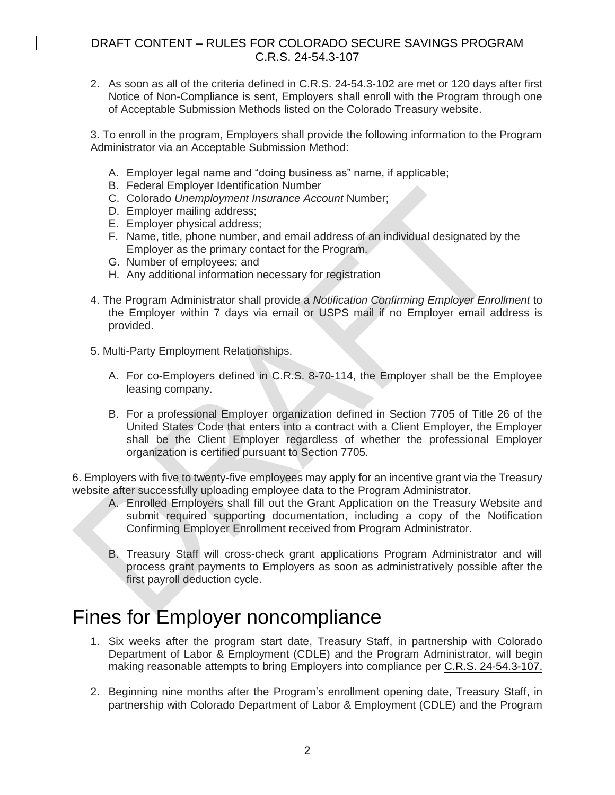2. As soon as all of the criteria defined in C.R.S. 24-54.3-102 are met or 120 days after first Notice of Non-Compliance is sent, Employers shall enroll with the Program through one of Acceptable Submission Methods listed on the Colorado Treasury website.

3. To enroll in the program, Employers shall provide the following information to the Program Administrator via an Acceptable Submission Method:

- A. Employer legal name and "doing business as" name, if applicable;
- B. Federal Employer Identification Number
- C. Colorado *Unemployment Insurance Account* Number;
- D. Employer mailing address;
- E. Employer physical address;
- F. Name, title, phone number, and email address of an individual designated by the Employer as the primary contact for the Program.
- G. Number of employees; and
- H. Any additional information necessary for registration
- 4. The Program Administrator shall provide a *Notification Confirming Employer Enrollment* to the Employer within 7 days via email or USPS mail if no Employer email address is provided.
- 5. Multi-Party Employment Relationships.
	- A. For co-Employers defined in C.R.S. 8-70-114, the Employer shall be the Employee leasing company.
	- B. For a professional Employer organization defined in Section 7705 of Title 26 of the United States Code that enters into a contract with a Client Employer, the Employer shall be the Client Employer regardless of whether the professional Employer organization is certified pursuant to Section 7705.

6. Employers with five to twenty-five employees may apply for an incentive grant via the Treasury website after successfully uploading employee data to the Program Administrator.

- A. Enrolled Employers shall fill out the Grant Application on the Treasury Website and submit required supporting documentation, including a copy of the Notification Confirming Employer Enrollment received from Program Administrator.
- B. Treasury Staff will cross-check grant applications Program Administrator and will process grant payments to Employers as soon as administratively possible after the first payroll deduction cycle.

### Fines for Employer noncompliance

- 1. Six weeks after the program start date, Treasury Staff, in partnership with Colorado Department of Labor & Employment (CDLE) and the Program Administrator, will begin making reasonable attempts to bring Employers into compliance per C.R.S. 24-54.3-107.
- 2. Beginning nine months after the Program's enrollment opening date, Treasury Staff, in partnership with Colorado Department of Labor & Employment (CDLE) and the Program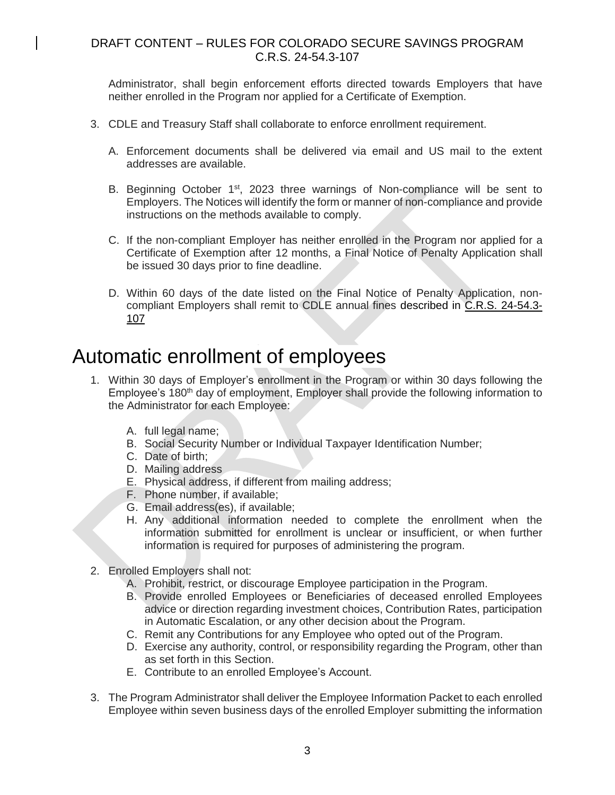Administrator, shall begin enforcement efforts directed towards Employers that have neither enrolled in the Program nor applied for a Certificate of Exemption.

- 3. CDLE and Treasury Staff shall collaborate to enforce enrollment requirement.
	- A. Enforcement documents shall be delivered via email and US mail to the extent addresses are available.
	- B. Beginning October 1<sup>st</sup>, 2023 three warnings of Non-compliance will be sent to Employers. The Notices will identify the form or manner of non-compliance and provide instructions on the methods available to comply.
	- C. If the non-compliant Employer has neither enrolled in the Program nor applied for a Certificate of Exemption after 12 months, a Final Notice of Penalty Application shall be issued 30 days prior to fine deadline.
	- D. Within 60 days of the date listed on the Final Notice of Penalty Application, noncompliant Employers shall remit to CDLE annual fines described in C.R.S. 24-54.3- 107

### Automatic enrollment of employees

- 1. Within 30 days of Employer's enrollment in the Program or within 30 days following the Employee's 180<sup>th</sup> day of employment, Employer shall provide the following information to the Administrator for each Employee:
	- A. full legal name;
	- B. Social Security Number or Individual Taxpayer Identification Number;
	- C. Date of birth;
	- D. Mailing address
	- E. Physical address, if different from mailing address;
	- F. Phone number, if available;
	- G. Email address(es), if available;
	- H. Any additional information needed to complete the enrollment when the information submitted for enrollment is unclear or insufficient, or when further information is required for purposes of administering the program.
- 2. Enrolled Employers shall not:
	- A. Prohibit, restrict, or discourage Employee participation in the Program.
	- B. Provide enrolled Employees or Beneficiaries of deceased enrolled Employees advice or direction regarding investment choices, Contribution Rates, participation in Automatic Escalation, or any other decision about the Program.
	- C. Remit any Contributions for any Employee who opted out of the Program.
	- D. Exercise any authority, control, or responsibility regarding the Program, other than as set forth in this Section.
	- E. Contribute to an enrolled Employee's Account.
- 3. The Program Administrator shall deliver the Employee Information Packet to each enrolled Employee within seven business days of the enrolled Employer submitting the information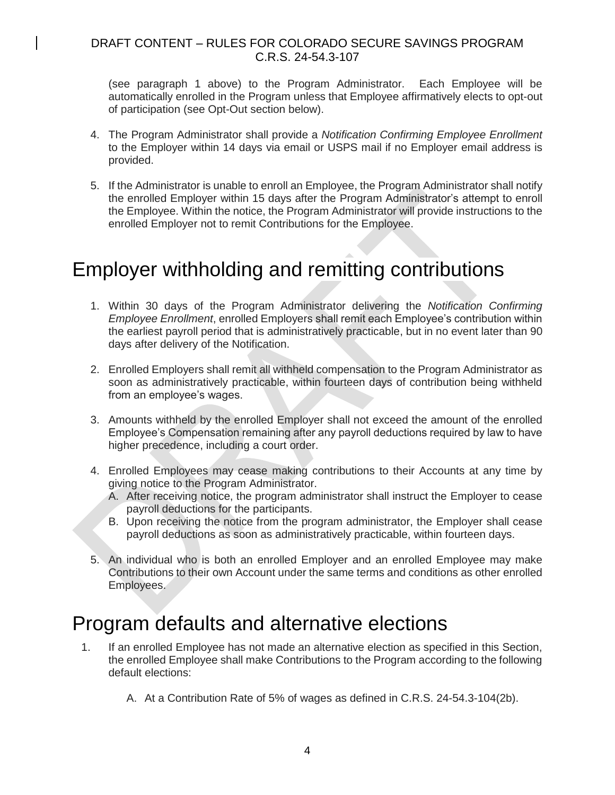(see paragraph 1 above) to the Program Administrator. Each Employee will be automatically enrolled in the Program unless that Employee affirmatively elects to opt-out of participation (see Opt-Out section below).

- 4. The Program Administrator shall provide a *Notification Confirming Employee Enrollment* to the Employer within 14 days via email or USPS mail if no Employer email address is provided.
- 5. If the Administrator is unable to enroll an Employee, the Program Administrator shall notify the enrolled Employer within 15 days after the Program Administrator's attempt to enroll the Employee. Within the notice, the Program Administrator will provide instructions to the enrolled Employer not to remit Contributions for the Employee.

# Employer withholding and remitting contributions

- 1. Within 30 days of the Program Administrator delivering the *Notification Confirming Employee Enrollment*, enrolled Employers shall remit each Employee's contribution within the earliest payroll period that is administratively practicable, but in no event later than 90 days after delivery of the Notification.
- 2. Enrolled Employers shall remit all withheld compensation to the Program Administrator as soon as administratively practicable, within fourteen days of contribution being withheld from an employee's wages.
- 3. Amounts withheld by the enrolled Employer shall not exceed the amount of the enrolled Employee's Compensation remaining after any payroll deductions required by law to have higher precedence, including a court order.
- 4. Enrolled Employees may cease making contributions to their Accounts at any time by giving notice to the Program Administrator.
	- A. After receiving notice, the program administrator shall instruct the Employer to cease payroll deductions for the participants.
	- B. Upon receiving the notice from the program administrator, the Employer shall cease payroll deductions as soon as administratively practicable, within fourteen days.
- 5. An individual who is both an enrolled Employer and an enrolled Employee may make Contributions to their own Account under the same terms and conditions as other enrolled Employees.

## Program defaults and alternative elections

- 1. If an enrolled Employee has not made an alternative election as specified in this Section, the enrolled Employee shall make Contributions to the Program according to the following default elections:
	- A. At a Contribution Rate of 5% of wages as defined in C.R.S. 24-54.3-104(2b).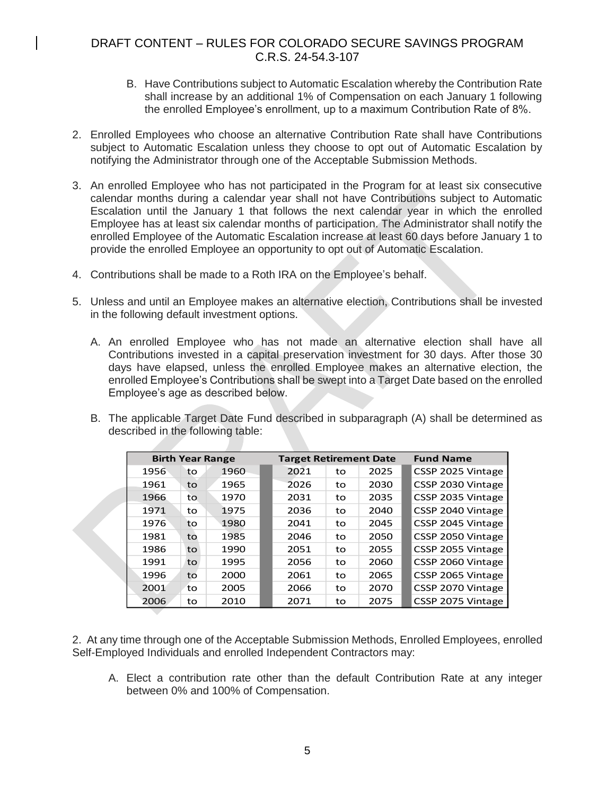- B. Have Contributions subject to Automatic Escalation whereby the Contribution Rate shall increase by an additional 1% of Compensation on each January 1 following the enrolled Employee's enrollment, up to a maximum Contribution Rate of 8%.
- 2. Enrolled Employees who choose an alternative Contribution Rate shall have Contributions subject to Automatic Escalation unless they choose to opt out of Automatic Escalation by notifying the Administrator through one of the Acceptable Submission Methods.
- 3. An enrolled Employee who has not participated in the Program for at least six consecutive calendar months during a calendar year shall not have Contributions subject to Automatic Escalation until the January 1 that follows the next calendar year in which the enrolled Employee has at least six calendar months of participation. The Administrator shall notify the enrolled Employee of the Automatic Escalation increase at least 60 days before January 1 to provide the enrolled Employee an opportunity to opt out of Automatic Escalation.
- 4. Contributions shall be made to a Roth IRA on the Employee's behalf.
- 5. Unless and until an Employee makes an alternative election, Contributions shall be invested in the following default investment options.
	- A. An enrolled Employee who has not made an alternative election shall have all Contributions invested in a capital preservation investment for 30 days. After those 30 days have elapsed, unless the enrolled Employee makes an alternative election, the enrolled Employee's Contributions shall be swept into a Target Date based on the enrolled Employee's age as described below.

| B. The applicable Target Date Fund described in subparagraph (A) shall be determined as |
|-----------------------------------------------------------------------------------------|
| described in the following table:                                                       |

|      | <b>Birth Year Range</b> |      |  | <b>Target Retirement Date</b> |    |      | <b>Fund Name</b>  |
|------|-------------------------|------|--|-------------------------------|----|------|-------------------|
| 1956 | to                      | 1960 |  | 2021                          | to | 2025 | CSSP 2025 Vintage |
| 1961 | to                      | 1965 |  | 2026                          | to | 2030 | CSSP 2030 Vintage |
| 1966 | to                      | 1970 |  | 2031                          | to | 2035 | CSSP 2035 Vintage |
| 1971 | to                      | 1975 |  | 2036                          | to | 2040 | CSSP 2040 Vintage |
| 1976 | to                      | 1980 |  | 2041                          | to | 2045 | CSSP 2045 Vintage |
| 1981 | to                      | 1985 |  | 2046                          | to | 2050 | CSSP 2050 Vintage |
| 1986 | to                      | 1990 |  | 2051                          | to | 2055 | CSSP 2055 Vintage |
| 1991 | to                      | 1995 |  | 2056                          | to | 2060 | CSSP 2060 Vintage |
| 1996 | to                      | 2000 |  | 2061                          | to | 2065 | CSSP 2065 Vintage |
| 2001 | to                      | 2005 |  | 2066                          | to | 2070 | CSSP 2070 Vintage |
| 2006 | to                      | 2010 |  | 2071                          | to | 2075 | CSSP 2075 Vintage |

2. At any time through one of the Acceptable Submission Methods, Enrolled Employees, enrolled Self-Employed Individuals and enrolled Independent Contractors may:

A. Elect a contribution rate other than the default Contribution Rate at any integer between 0% and 100% of Compensation.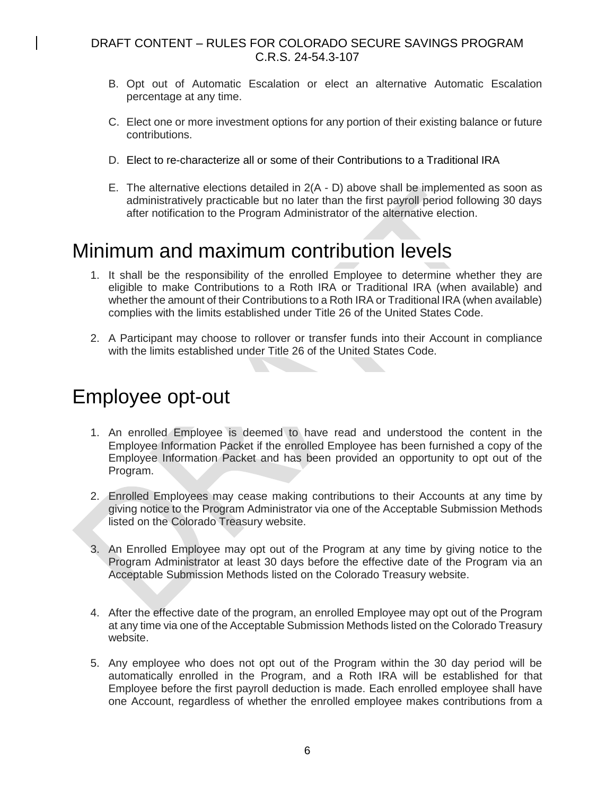- B. Opt out of Automatic Escalation or elect an alternative Automatic Escalation percentage at any time.
- C. Elect one or more investment options for any portion of their existing balance or future contributions.
- D. Elect to re-characterize all or some of their Contributions to a Traditional IRA
- E. The alternative elections detailed in 2(A D) above shall be implemented as soon as administratively practicable but no later than the first payroll period following 30 days after notification to the Program Administrator of the alternative election.

# Minimum and maximum contribution levels

- 1. It shall be the responsibility of the enrolled Employee to determine whether they are eligible to make Contributions to a Roth IRA or Traditional IRA (when available) and whether the amount of their Contributions to a Roth IRA or Traditional IRA (when available) complies with the limits established under Title 26 of the United States Code.
- 2. A Participant may choose to rollover or transfer funds into their Account in compliance with the limits established under Title 26 of the United States Code.

# Employee opt-out

- 1. An enrolled Employee is deemed to have read and understood the content in the Employee Information Packet if the enrolled Employee has been furnished a copy of the Employee Information Packet and has been provided an opportunity to opt out of the Program.
- 2. Enrolled Employees may cease making contributions to their Accounts at any time by giving notice to the Program Administrator via one of the Acceptable Submission Methods listed on the Colorado Treasury website.
- 3. An Enrolled Employee may opt out of the Program at any time by giving notice to the Program Administrator at least 30 days before the effective date of the Program via an Acceptable Submission Methods listed on the Colorado Treasury website.
- 4. After the effective date of the program, an enrolled Employee may opt out of the Program at any time via one of the Acceptable Submission Methods listed on the Colorado Treasury website.
- 5. Any employee who does not opt out of the Program within the 30 day period will be automatically enrolled in the Program, and a Roth IRA will be established for that Employee before the first payroll deduction is made. Each enrolled employee shall have one Account, regardless of whether the enrolled employee makes contributions from a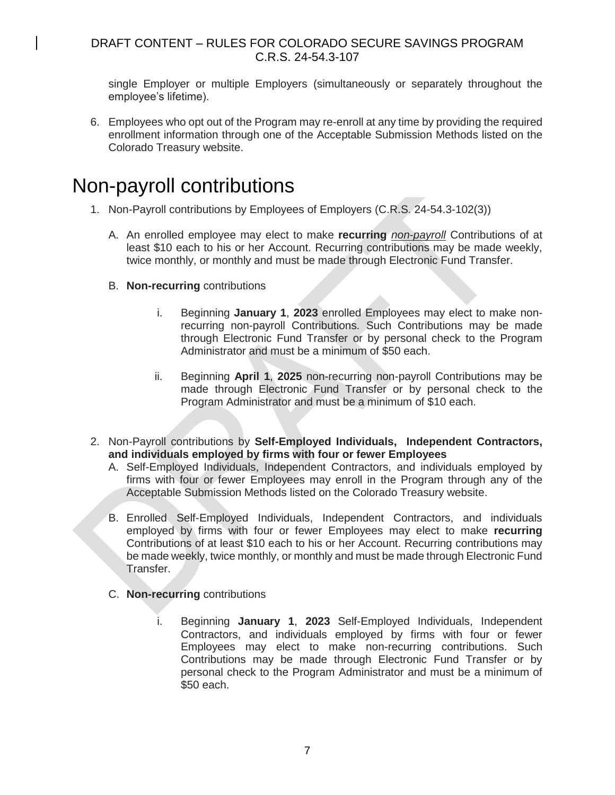single Employer or multiple Employers (simultaneously or separately throughout the employee's lifetime).

6. Employees who opt out of the Program may re-enroll at any time by providing the required enrollment information through one of the Acceptable Submission Methods listed on the Colorado Treasury website.

### Non-payroll contributions

- 1. Non-Payroll contributions by Employees of Employers (C.R.S. 24-54.3-102(3))
	- A. An enrolled employee may elect to make **recurring** *non-payroll* Contributions of at least \$10 each to his or her Account. Recurring contributions may be made weekly, twice monthly, or monthly and must be made through Electronic Fund Transfer.
	- B. **Non-recurring** contributions
		- i. Beginning **January 1**, **2023** enrolled Employees may elect to make nonrecurring non-payroll Contributions. Such Contributions may be made through Electronic Fund Transfer or by personal check to the Program Administrator and must be a minimum of \$50 each.
		- ii. Beginning **April 1**, **2025** non-recurring non-payroll Contributions may be made through Electronic Fund Transfer or by personal check to the Program Administrator and must be a minimum of \$10 each.
- 2. Non-Payroll contributions by **Self-Employed Individuals, Independent Contractors, and individuals employed by firms with four or fewer Employees**
	- A. Self-Employed Individuals, Independent Contractors, and individuals employed by firms with four or fewer Employees may enroll in the Program through any of the Acceptable Submission Methods listed on the Colorado Treasury website.
	- B. Enrolled Self-Employed Individuals, Independent Contractors, and individuals employed by firms with four or fewer Employees may elect to make **recurring** Contributions of at least \$10 each to his or her Account. Recurring contributions may be made weekly, twice monthly, or monthly and must be made through Electronic Fund Transfer.
	- C. **Non-recurring** contributions
		- i. Beginning **January 1**, **2023** Self-Employed Individuals, Independent Contractors, and individuals employed by firms with four or fewer Employees may elect to make non-recurring contributions. Such Contributions may be made through Electronic Fund Transfer or by personal check to the Program Administrator and must be a minimum of \$50 each.